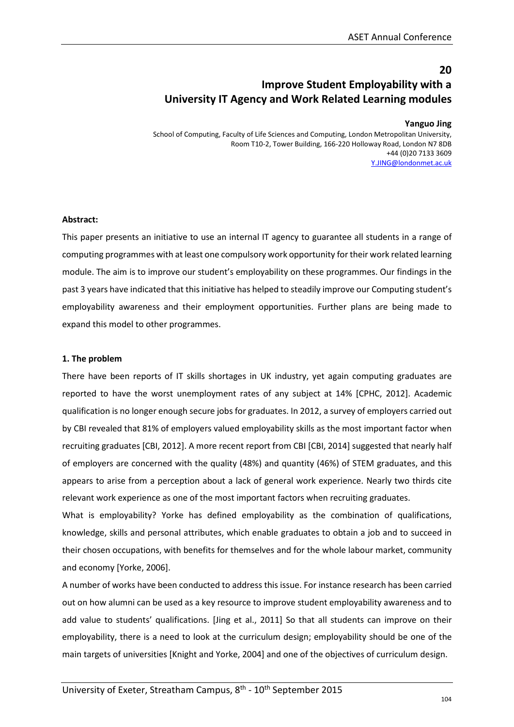# **20 Improve Student Employability with a University IT Agency and Work Related Learning modules**

#### **Yanguo Jing**

School of Computing, Faculty of Life Sciences and Computing, London Metropolitan University, Room T10-2, Tower Building, 166-220 Holloway Road, London N7 8DB +44 (0)20 7133 3609 [Y.JING@londonmet.ac.uk](mailto:Y.JING@londonmet.ac.uk) 

#### **Abstract:**

This paper presents an initiative to use an internal IT agency to guarantee all students in a range of computing programmes with at least one compulsory work opportunity for their work related learning module. The aim is to improve our student's employability on these programmes. Our findings in the past 3 years have indicated that this initiative has helped to steadily improve our Computing student's employability awareness and their employment opportunities. Further plans are being made to expand this model to other programmes.

#### **1. The problem**

There have been reports of IT skills shortages in UK industry, yet again computing graduates are reported to have the worst unemployment rates of any subject at 14% [CPHC, 2012]. Academic qualification is no longer enough secure jobs for graduates. In 2012, a survey of employers carried out by CBI revealed that 81% of employers valued employability skills as the most important factor when recruiting graduates [CBI, 2012]. A more recent report from CBI [CBI, 2014] suggested that nearly half of employers are concerned with the quality (48%) and quantity (46%) of STEM graduates, and this appears to arise from a perception about a lack of general work experience. Nearly two thirds cite relevant work experience as one of the most important factors when recruiting graduates.

What is employability? Yorke has defined employability as the combination of qualifications, knowledge, skills and personal attributes, which enable graduates to obtain a job and to succeed in their chosen occupations, with benefits for themselves and for the whole labour market, community and economy [Yorke, 2006].

A number of works have been conducted to address this issue. For instance research has been carried out on how alumni can be used as a key resource to improve student employability awareness and to add value to students' qualifications. [Jing et al., 2011] So that all students can improve on their employability, there is a need to look at the curriculum design; employability should be one of the main targets of universities [Knight and Yorke, 2004] and one of the objectives of curriculum design.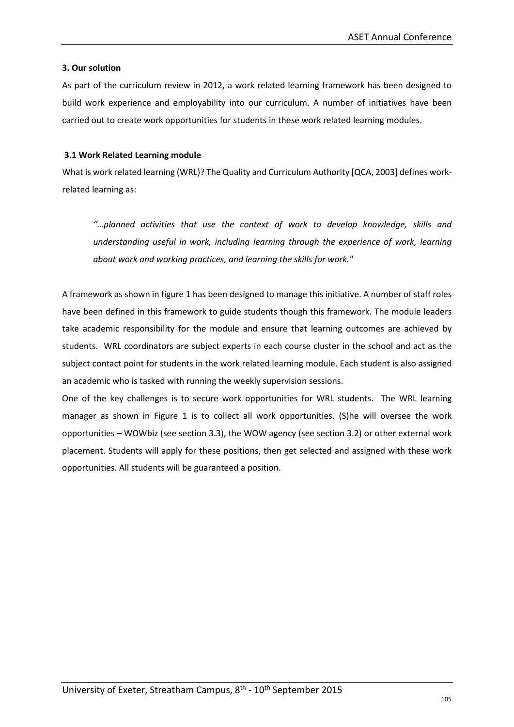#### **3. Our solution**

As part of the curriculum review in 2012, a work related learning framework has been designed to build work experience and employability into our curriculum. A number of initiatives have been carried out to create work opportunities for students in these work related learning modules.

### **3.1 Work Related Learning module**

What is work related learning (WRL)? The Quality and Curriculum Authority [QCA, 2003] defines workrelated learning as:

*"…planned activities that use the context of work to develop knowledge, skills and understanding useful in work, including learning through the experience of work, learning about work and working practices, and learning the skills for work."*

A framework as shown in figure 1 has been designed to manage this initiative. A number of staff roles have been defined in this framework to guide students though this framework. The module leaders take academic responsibility for the module and ensure that learning outcomes are achieved by students. WRL coordinators are subject experts in each course cluster in the school and act as the subject contact point for students in the work related learning module. Each student is also assigned an academic who is tasked with running the weekly supervision sessions.

One of the key challenges is to secure work opportunities for WRL students. The WRL learning manager as shown in Figure 1 is to collect all work opportunities. (S)he will oversee the work opportunities – WOWbiz (see section 3.3), the WOW agency (see section 3.2) or other external work placement. Students will apply for these positions, then get selected and assigned with these work opportunities. All students will be guaranteed a position.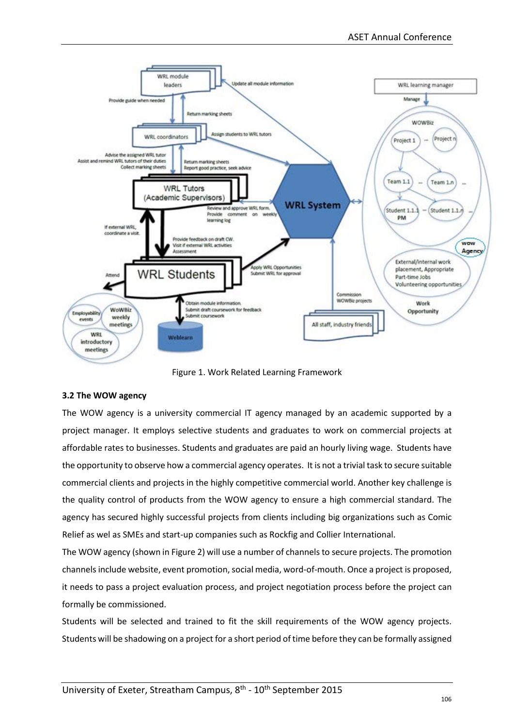

Figure 1. Work Related Learning Framework

# **3.2 The WOW agency**

The WOW agency is a university commercial IT agency managed by an academic supported by a project manager. It employs selective students and graduates to work on commercial projects at affordable rates to businesses. Students and graduates are paid an hourly living wage. Students have the opportunity to observe how a commercial agency operates. It is not a trivial task to secure suitable commercial clients and projects in the highly competitive commercial world. Another key challenge is the quality control of products from the WOW agency to ensure a high commercial standard. The agency has secured highly successful projects from clients including big organizations such as Comic Relief as wel as SMEs and start-up companies such as Rockfig and Collier International.

The WOW agency (shown in Figure 2) will use a number of channels to secure projects. The promotion channels include website, event promotion, social media, word-of-mouth. Once a project is proposed, it needs to pass a project evaluation process, and project negotiation process before the project can formally be commissioned.

Students will be selected and trained to fit the skill requirements of the WOW agency projects. Students will be shadowing on a project for a short period of time before they can be formally assigned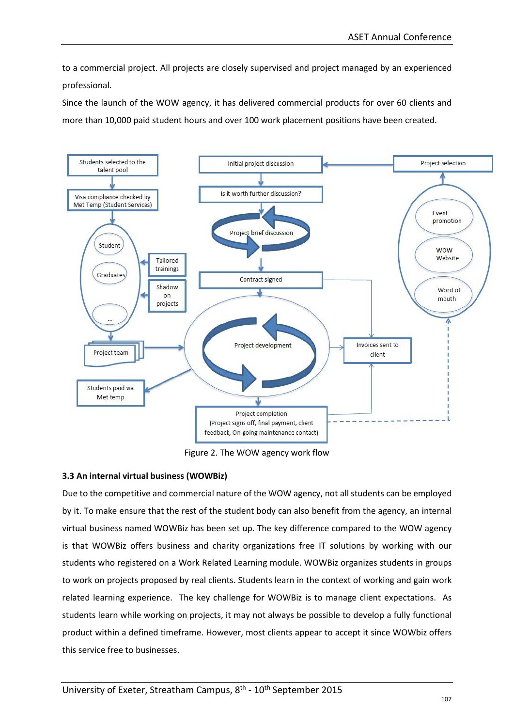to a commercial project. All projects are closely supervised and project managed by an experienced professional.

Since the launch of the WOW agency, it has delivered commercial products for over 60 clients and more than 10,000 paid student hours and over 100 work placement positions have been created.



Figure 2. The WOW agency work flow

# **3.3 An internal virtual business (WOWBiz)**

Due to the competitive and commercial nature of the WOW agency, not all students can be employed by it. To make ensure that the rest of the student body can also benefit from the agency, an internal virtual business named WOWBiz has been set up. The key difference compared to the WOW agency is that WOWBiz offers business and charity organizations free IT solutions by working with our students who registered on a Work Related Learning module. WOWBiz organizes students in groups to work on projects proposed by real clients. Students learn in the context of working and gain work related learning experience. The key challenge for WOWBiz is to manage client expectations. As students learn while working on projects, it may not always be possible to develop a fully functional product within a defined timeframe. However, most clients appear to accept it since WOWbiz offers this service free to businesses.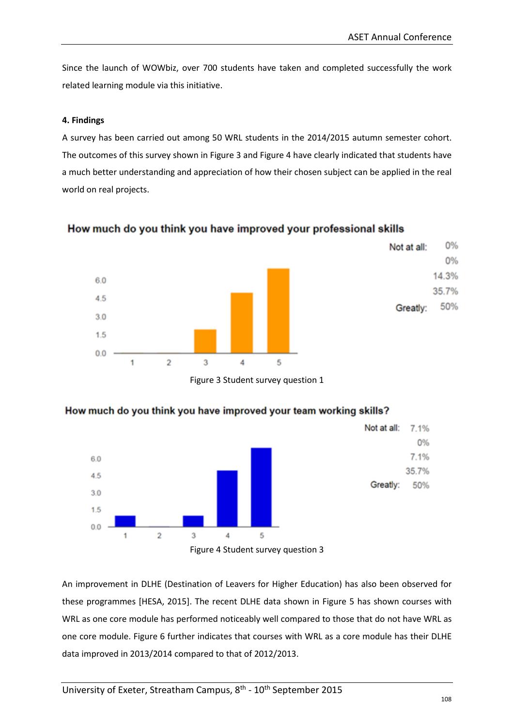0%

0% 14.3%

35.7%

Greatly:

50%

Since the launch of WOWbiz, over 700 students have taken and completed successfully the work related learning module via this initiative.

### **4. Findings**

A survey has been carried out among 50 WRL students in the 2014/2015 autumn semester cohort. The outcomes of this survey shown in Figure 3 and Figure 4 have clearly indicated that students have a much better understanding and appreciation of how their chosen subject can be applied in the real world on real projects.





Figure 3 Student survey question 1



# How much do you think you have improved your team working skills?

An improvement in DLHE (Destination of Leavers for Higher Education) has also been observed for these programmes [HESA, 2015]. The recent DLHE data shown in Figure 5 has shown courses with WRL as one core module has performed noticeably well compared to those that do not have WRL as one core module. Figure 6 further indicates that courses with WRL as a core module has their DLHE data improved in 2013/2014 compared to that of 2012/2013.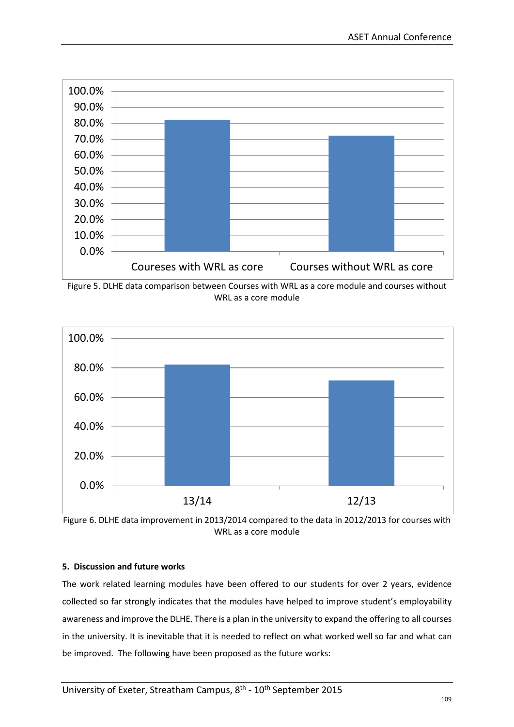

Figure 5. DLHE data comparison between Courses with WRL as a core module and courses without WRL as a core module





# **5. Discussion and future works**

The work related learning modules have been offered to our students for over 2 years, evidence collected so far strongly indicates that the modules have helped to improve student's employability awareness and improve the DLHE. There is a plan in the university to expand the offering to all courses in the university. It is inevitable that it is needed to reflect on what worked well so far and what can be improved. The following have been proposed as the future works: